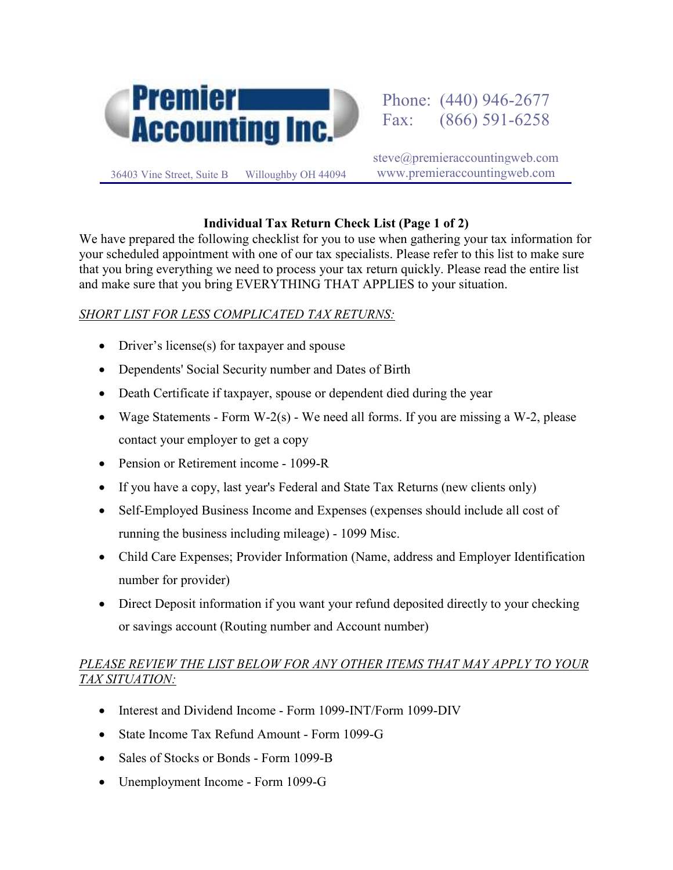

steve@premieraccountingweb.com www.premieraccountingweb.com

## **Individual Tax Return Check List (Page 1 of 2)**

We have prepared the following checklist for you to use when gathering your tax information for your scheduled appointment with one of our tax specialists. Please refer to this list to make sure that you bring everything we need to process your tax return quickly. Please read the entire list and make sure that you bring EVERYTHING THAT APPLIES to your situation.

## *SHORT LIST FOR LESS COMPLICATED TAX RETURNS:*

- Driver's license(s) for taxpayer and spouse
- Dependents' Social Security number and Dates of Birth
- Death Certificate if taxpayer, spouse or dependent died during the year
- Wage Statements Form W-2(s) We need all forms. If you are missing a W-2, please contact your employer to get a copy
- Pension or Retirement income 1099-R
- If you have a copy, last year's Federal and State Tax Returns (new clients only)
- Self-Employed Business Income and Expenses (expenses should include all cost of running the business including mileage) - 1099 Misc.
- Child Care Expenses; Provider Information (Name, address and Employer Identification number for provider)
- Direct Deposit information if you want your refund deposited directly to your checking or savings account (Routing number and Account number)

## *PLEASE REVIEW THE LIST BELOW FOR ANY OTHER ITEMS THAT MAY APPLY TO YOUR TAX SITUATION:*

- Interest and Dividend Income Form 1099-INT/Form 1099-DIV
- State Income Tax Refund Amount Form 1099-G
- Sales of Stocks or Bonds Form 1099-B
- Unemployment Income Form 1099-G